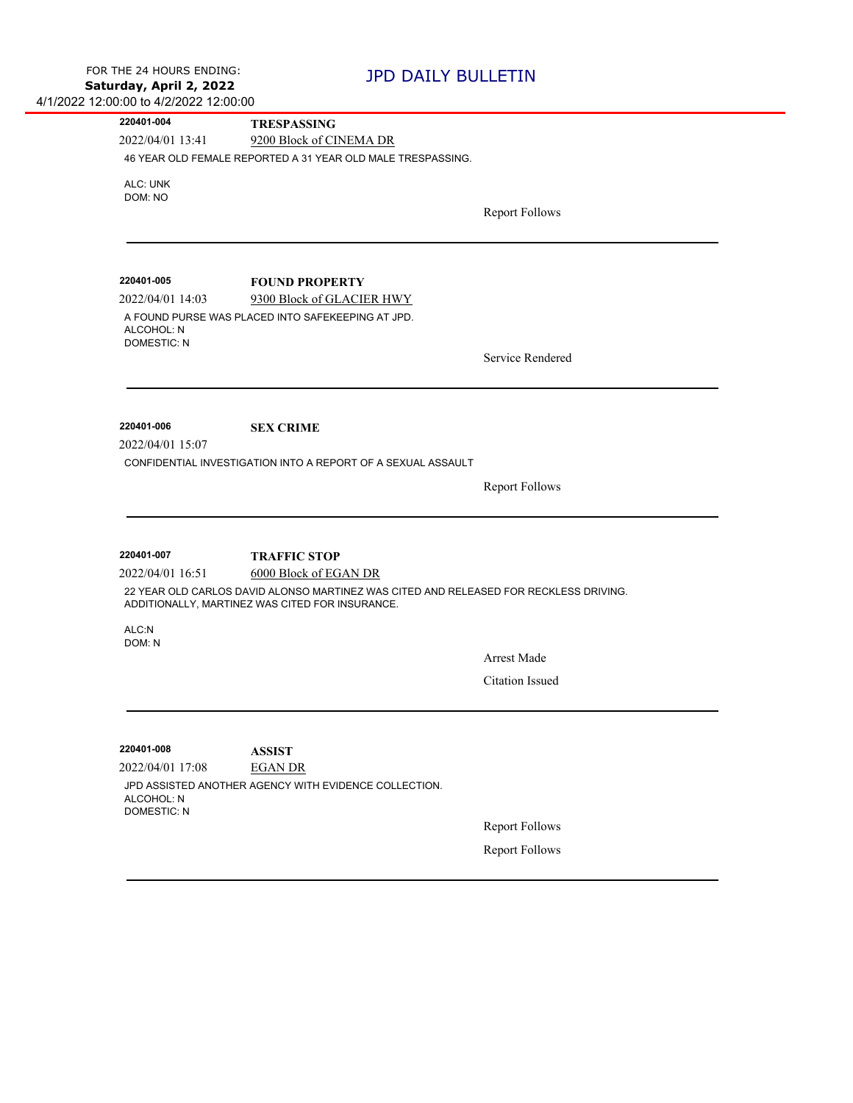| 220401-004         | <b>TRESPASSING</b>                                                                                                                       |                                                |
|--------------------|------------------------------------------------------------------------------------------------------------------------------------------|------------------------------------------------|
| 2022/04/01 13:41   | 9200 Block of CINEMA DR                                                                                                                  |                                                |
|                    | 46 YEAR OLD FEMALE REPORTED A 31 YEAR OLD MALE TRESPASSING.                                                                              |                                                |
| ALC: UNK           |                                                                                                                                          |                                                |
| DOM: NO            |                                                                                                                                          |                                                |
|                    |                                                                                                                                          | <b>Report Follows</b>                          |
|                    |                                                                                                                                          |                                                |
|                    |                                                                                                                                          |                                                |
| 220401-005         | <b>FOUND PROPERTY</b>                                                                                                                    |                                                |
| 2022/04/01 14:03   | 9300 Block of GLACIER HWY                                                                                                                |                                                |
| ALCOHOL: N         | A FOUND PURSE WAS PLACED INTO SAFEKEEPING AT JPD.                                                                                        |                                                |
| <b>DOMESTIC: N</b> |                                                                                                                                          | Service Rendered                               |
|                    |                                                                                                                                          |                                                |
|                    |                                                                                                                                          |                                                |
| 220401-006         | <b>SEX CRIME</b>                                                                                                                         |                                                |
|                    |                                                                                                                                          |                                                |
|                    |                                                                                                                                          |                                                |
|                    | CONFIDENTIAL INVESTIGATION INTO A REPORT OF A SEXUAL ASSAULT                                                                             |                                                |
| 2022/04/01 15:07   |                                                                                                                                          |                                                |
|                    |                                                                                                                                          | <b>Report Follows</b>                          |
|                    |                                                                                                                                          |                                                |
|                    |                                                                                                                                          |                                                |
| 220401-007         | <b>TRAFFIC STOP</b>                                                                                                                      |                                                |
| 2022/04/01 16:51   | 6000 Block of EGAN DR                                                                                                                    |                                                |
|                    | 22 YEAR OLD CARLOS DAVID ALONSO MARTINEZ WAS CITED AND RELEASED FOR RECKLESS DRIVING.<br>ADDITIONALLY, MARTINEZ WAS CITED FOR INSURANCE. |                                                |
| ALC:N              |                                                                                                                                          |                                                |
| DOM: N             |                                                                                                                                          | <b>Arrest Made</b>                             |
|                    |                                                                                                                                          |                                                |
|                    |                                                                                                                                          | Citation Issued                                |
|                    |                                                                                                                                          |                                                |
| 220401-008         | <b>ASSIST</b>                                                                                                                            |                                                |
| 2022/04/01 17:08   | <b>EGAN DR</b>                                                                                                                           |                                                |
| ALCOHOL: N         | JPD ASSISTED ANOTHER AGENCY WITH EVIDENCE COLLECTION.                                                                                    |                                                |
| <b>DOMESTIC: N</b> |                                                                                                                                          |                                                |
|                    |                                                                                                                                          | <b>Report Follows</b><br><b>Report Follows</b> |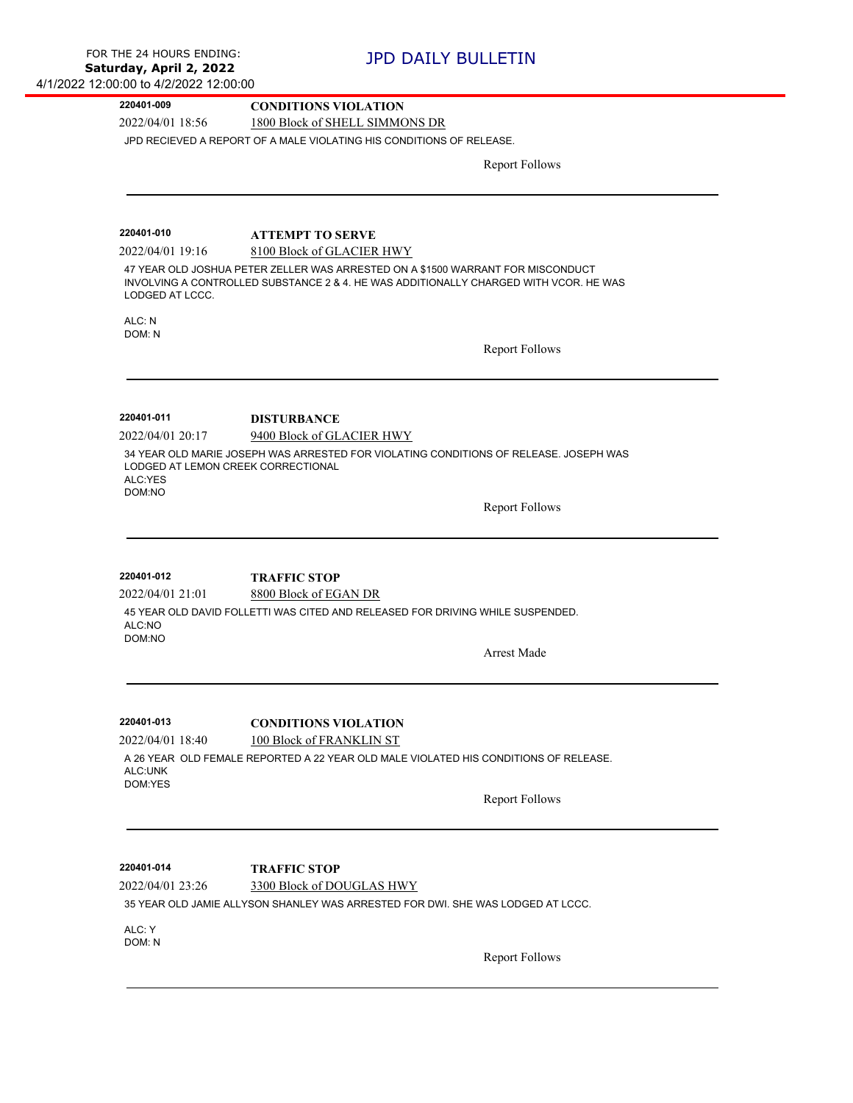| 1800 Block of SHELL SIMMONS DR<br>JPD RECIEVED A REPORT OF A MALE VIOLATING HIS CONDITIONS OF RELEASE.<br><b>Report Follows</b>                                                                       |
|-------------------------------------------------------------------------------------------------------------------------------------------------------------------------------------------------------|
|                                                                                                                                                                                                       |
|                                                                                                                                                                                                       |
|                                                                                                                                                                                                       |
|                                                                                                                                                                                                       |
| <b>ATTEMPT TO SERVE</b>                                                                                                                                                                               |
| 8100 Block of GLACIER HWY<br>47 YEAR OLD JOSHUA PETER ZELLER WAS ARRESTED ON A \$1500 WARRANT FOR MISCONDUCT<br>INVOLVING A CONTROLLED SUBSTANCE 2 & 4. HE WAS ADDITIONALLY CHARGED WITH VCOR. HE WAS |
|                                                                                                                                                                                                       |
| <b>Report Follows</b>                                                                                                                                                                                 |
|                                                                                                                                                                                                       |
| <b>DISTURBANCE</b>                                                                                                                                                                                    |
| 9400 Block of GLACIER HWY<br>34 YEAR OLD MARIE JOSEPH WAS ARRESTED FOR VIOLATING CONDITIONS OF RELEASE. JOSEPH WAS<br>LODGED AT LEMON CREEK CORRECTIONAL                                              |
| <b>Report Follows</b>                                                                                                                                                                                 |
| <b>TRAFFIC STOP</b>                                                                                                                                                                                   |
| 8800 Block of EGAN DR                                                                                                                                                                                 |
| 45 YEAR OLD DAVID FOLLETTI WAS CITED AND RELEASED FOR DRIVING WHILE SUSPENDED.                                                                                                                        |
| <b>Arrest Made</b>                                                                                                                                                                                    |
| <b>CONDITIONS VIOLATION</b>                                                                                                                                                                           |
| 100 Block of FRANKLIN ST                                                                                                                                                                              |
| A 26 YEAR OLD FEMALE REPORTED A 22 YEAR OLD MALE VIOLATED HIS CONDITIONS OF RELEASE.                                                                                                                  |
| <b>Report Follows</b>                                                                                                                                                                                 |
| <b>TRAFFIC STOP</b>                                                                                                                                                                                   |
| 3300 Block of DOUGLAS HWY                                                                                                                                                                             |
| 35 YEAR OLD JAMIE ALLYSON SHANLEY WAS ARRESTED FOR DWI. SHE WAS LODGED AT LCCC.                                                                                                                       |
|                                                                                                                                                                                                       |
| <b>Report Follows</b>                                                                                                                                                                                 |
|                                                                                                                                                                                                       |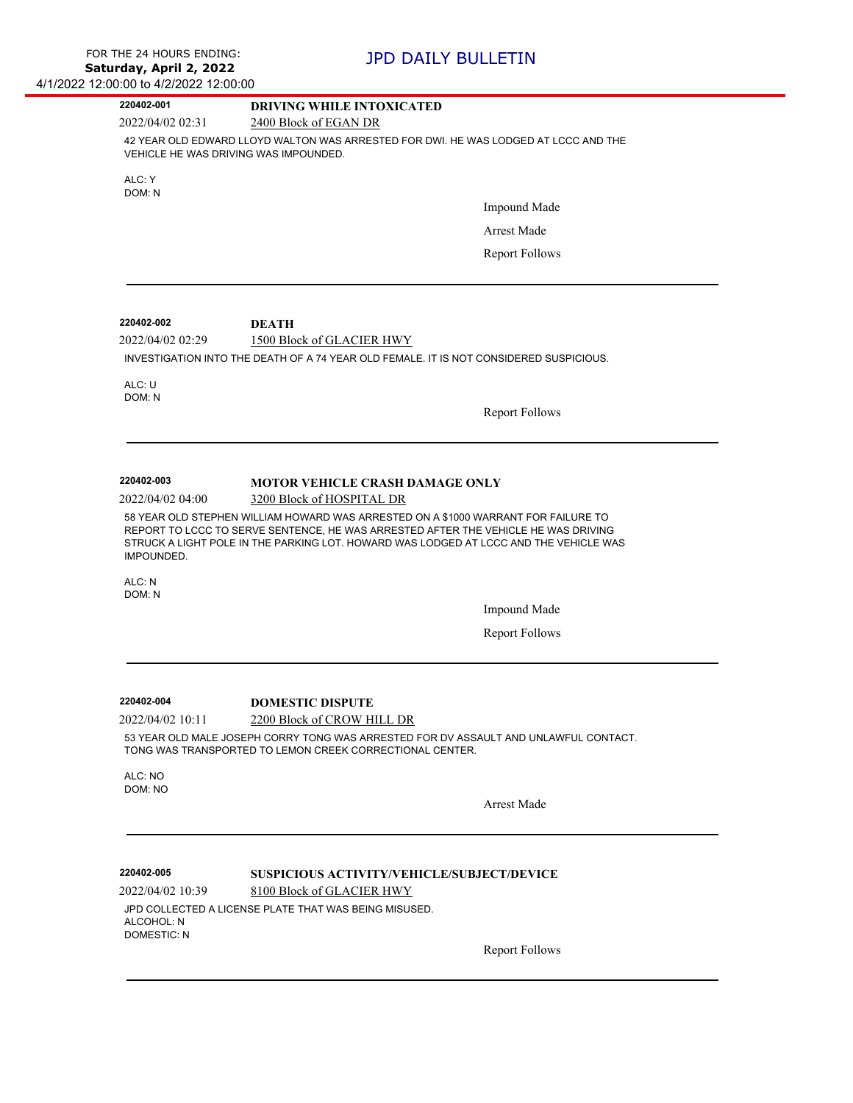| 220402-001         | <b>DRIVING WHILE INTOXICATED</b>                                                                                                                                                                                                                                  |
|--------------------|-------------------------------------------------------------------------------------------------------------------------------------------------------------------------------------------------------------------------------------------------------------------|
| 2022/04/02 02:31   | 2400 Block of EGAN DR                                                                                                                                                                                                                                             |
|                    | 42 YEAR OLD EDWARD LLOYD WALTON WAS ARRESTED FOR DWI. HE WAS LODGED AT LCCC AND THE<br>VEHICLE HE WAS DRIVING WAS IMPOUNDED.                                                                                                                                      |
| ALC: Y             |                                                                                                                                                                                                                                                                   |
| DOM: N             | <b>Impound Made</b>                                                                                                                                                                                                                                               |
|                    |                                                                                                                                                                                                                                                                   |
|                    | <b>Arrest Made</b>                                                                                                                                                                                                                                                |
|                    | <b>Report Follows</b>                                                                                                                                                                                                                                             |
| 220402-002         |                                                                                                                                                                                                                                                                   |
| 2022/04/02 02:29   | <b>DEATH</b><br>1500 Block of GLACIER HWY                                                                                                                                                                                                                         |
|                    | INVESTIGATION INTO THE DEATH OF A 74 YEAR OLD FEMALE. IT IS NOT CONSIDERED SUSPICIOUS.                                                                                                                                                                            |
|                    |                                                                                                                                                                                                                                                                   |
| ALC: U<br>DOM: N   |                                                                                                                                                                                                                                                                   |
|                    | <b>Report Follows</b>                                                                                                                                                                                                                                             |
|                    |                                                                                                                                                                                                                                                                   |
| 220402-003         | <b>MOTOR VEHICLE CRASH DAMAGE ONLY</b>                                                                                                                                                                                                                            |
| 2022/04/02 04:00   | 3200 Block of HOSPITAL DR                                                                                                                                                                                                                                         |
| IMPOUNDED.         | 58 YEAR OLD STEPHEN WILLIAM HOWARD WAS ARRESTED ON A \$1000 WARRANT FOR FAILURE TO<br>REPORT TO LCCC TO SERVE SENTENCE, HE WAS ARRESTED AFTER THE VEHICLE HE WAS DRIVING<br>STRUCK A LIGHT POLE IN THE PARKING LOT. HOWARD WAS LODGED AT LCCC AND THE VEHICLE WAS |
| ALC: N<br>DOM: N   |                                                                                                                                                                                                                                                                   |
|                    | <b>Impound Made</b>                                                                                                                                                                                                                                               |
|                    | <b>Report Follows</b>                                                                                                                                                                                                                                             |
|                    |                                                                                                                                                                                                                                                                   |
| 220402-004         | <b>DOMESTIC DISPUTE</b>                                                                                                                                                                                                                                           |
| 2022/04/02 10:11   | 2200 Block of CROW HILL DR                                                                                                                                                                                                                                        |
|                    | 53 YEAR OLD MALE JOSEPH CORRY TONG WAS ARRESTED FOR DV ASSAULT AND UNLAWFUL CONTACT.<br>TONG WAS TRANSPORTED TO LEMON CREEK CORRECTIONAL CENTER.                                                                                                                  |
| ALC: NO<br>DOM: NO |                                                                                                                                                                                                                                                                   |
|                    | Arrest Made                                                                                                                                                                                                                                                       |
| 220402-005         |                                                                                                                                                                                                                                                                   |
| 2022/04/02 10:39   | <b>SUSPICIOUS ACTIVITY/VEHICLE/SUBJECT/DEVICE</b><br>8100 Block of GLACIER HWY                                                                                                                                                                                    |
|                    | JPD COLLECTED A LICENSE PLATE THAT WAS BEING MISUSED.                                                                                                                                                                                                             |
| ALCOHOL: N         |                                                                                                                                                                                                                                                                   |
| <b>DOMESTIC: N</b> | <b>Report Follows</b>                                                                                                                                                                                                                                             |
|                    |                                                                                                                                                                                                                                                                   |

 $\overline{\phantom{0}}$